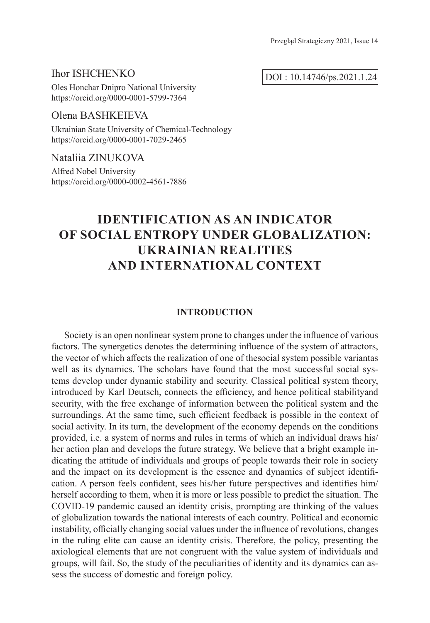# Ihor ISHCHENKO

Oles Honchar Dnipro National University https://orcid.org/0000-0001-5799-7364

# Olena BASHKEIEVA

Ukrainian State University of Chemical-Technology https://orcid.org/0000-0001-7029-2465

## Nataliia ZINUKOVA

Alfred Nobel University https://orcid.org/0000-0002-4561-7886

# **IDENTIFICATION AS AN INDICATOR OF SOCIAL ENTROPY UNDER GLOBALIZATION: UKRAINIAN REALITIES AND INTERNATIONAL CONTEXT**

# **INTRODUCTION**

Society is an open nonlinear system prone to changes under the influence of various factors. The synergetics denotes the determining influence of the system of attractors, the vector of which affects the realization of one of thesocial system possible variantas well as its dynamics. The scholars have found that the most successful social systems develop under dynamic stability and security. Classical political system theory, introduced by Karl Deutsch, connects the efficiency, and hence political stabilityand security, with the free exchange of information between the political system and the surroundings. At the same time, such efficient feedback is possible in the context of social activity. In its turn, the development of the economy depends on the conditions provided, i.e. a system of norms and rules in terms of which an individual draws his/ her action plan and develops the future strategy. We believe that a bright example indicating the attitude of individuals and groups of people towards their role in society and the impact on its development is the essence and dynamics of subject identification. A person feels confident, sees his/her future perspectives and identifies him/ herself according to them, when it is more or less possible to predict the situation. The COVID-19 pandemic caused an identity crisis, prompting are thinking of the values of globalization towards the national interests of each country. Political and economic instability, officially changing social values under the influence of revolutions, changes in the ruling elite can cause an identity crisis. Therefore, the policy, presenting the axiological elements that are not congruent with the value system of individuals and groups, will fail. So, the study of the peculiarities of identity and its dynamics can assess the success of domestic and foreign policy.

DOI : 10.14746/ps.2021.1.24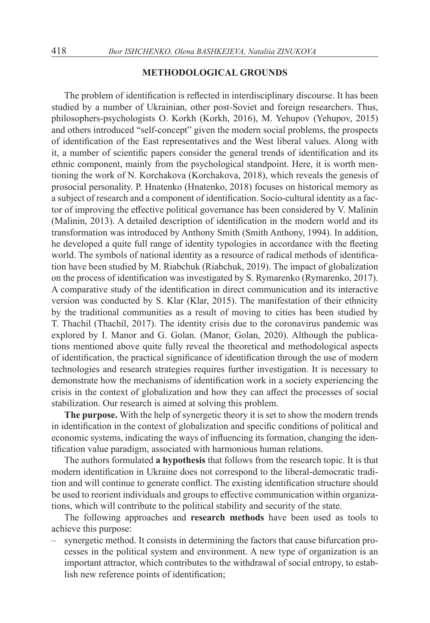#### **METHODOLOGICAL GROUNDS**

The problem of identification is reflected in interdisciplinary discourse. It has been studied by a number of Ukrainian, other post-Soviet and foreign researchers. Thus, philosophers-psychologists O. Korkh (Korkh, 2016), M. Yehupov (Yehupov, 2015) and others introduced "self-concept" given the modern social problems, the prospects of identification of the East representatives and the West liberal values. Along with it, a number of scientific papers consider the general trends of identification and its ethnic component, mainly from the psychological standpoint. Here, it is worth mentioning the work of N. Korchakova (Korchakova, 2018), which reveals the genesis of prosocial personality. P. Hnatenko (Hnatenko, 2018) focuses on historical memory as a subject of research and a component of identification. Socio-cultural identity as a factor of improving the effective political governance has been considered by V. Malinin (Malinin, 2013). A detailed description of identification in the modern world and its transformation was introduced by Anthony Smith (Smith Anthony, 1994). In addition, he developed a quite full range of identity typologies in accordance with the fleeting world. The symbols of national identity as a resource of radical methods of identification have been studied by M. Riabchuk (Riabchuk, 2019). The impact of globalization on the process of identification was investigated by S. Rymarenko (Rymarenko, 2017). A comparative study of the identification in direct communication and its interactive version was conducted by S. Klar (Klar, 2015). The manifestation of their ethnicity by the traditional communities as a result of moving to cities has been studied by T. Thachil (Thachil, 2017). The identity crisis due to the coronavirus pandemic was explored by I. Manor and G. Golan. (Manor, Golan, 2020). Although the publications mentioned above quite fully reveal the theoretical and methodological aspects of identification, the practical significance of identification through the use of modern technologies and research strategies requires further investigation. It is necessary to demonstrate how the mechanisms of identification work in a society experiencing the crisis in the context of globalization and how they can affect the processes of social stabilization. Our research is aimed at solving this problem.

**The purpose.** With the help of synergetic theory it is set to show the modern trends in identification in the context of globalization and specific conditions of political and economic systems, indicating the ways of influencing its formation, changing the identification value paradigm, associated with harmonious human relations.

The authors formulated **a hypothesis** that follows from the research topic. It is that modern identification in Ukraine does not correspond to the liberal-democratic tradition and will continue to generate conflict. The existing identification structure should be used to reorient individuals and groups to effective communication within organizations, which will contribute to the political stability and security of the state.

The following approaches and **research methods** have been used as tools to achieve this purpose:

– synergetic method. It consists in determining the factors that cause bifurcation processes in the political system and environment. A new type of organization is an important attractor, which contributes to the withdrawal of social entropy, to establish new reference points of identification;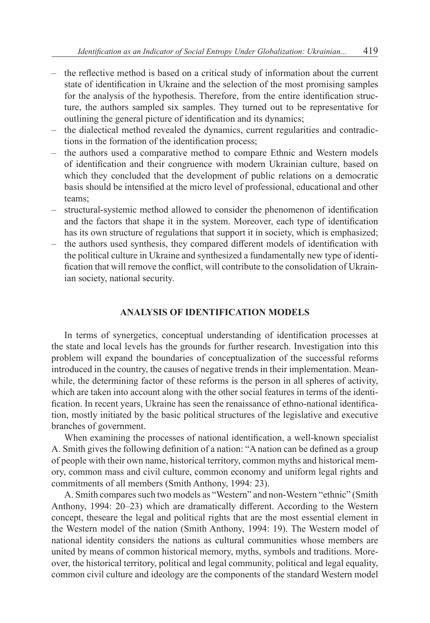- the reflective method is based on a critical study of information about the current state of identification in Ukraine and the selection of the most promising samples for the analysis of the hypothesis. Therefore, from the entire identification structure, the authors sampled six samples. They turned out to be representative for outlining the general picture of identification and its dynamics;
- the dialectical method revealed the dynamics, current regularities and contradictions in the formation of the identification process;
- the authors used a comparative method to compare Ethnic and Western models of identification and their congruence with modern Ukrainian culture, based on which they concluded that the development of public relations on a democratic basis should be intensified at the micro level of professional, educational and other teams;
- structural-systemic method allowed to consider the phenomenon of identification and the factors that shape it in the system. Moreover, each type of identification has its own structure of regulations that support it in society, which is emphasized;
- the authors used synthesis, they compared different models of identification with the political culture in Ukraine and synthesized a fundamentally new type of identification that will remove the conflict, will contribute to the consolidation of Ukrainian society, national security.

## **ANALYSIS OF IDENTIFICATION MODELS**

In terms of synergetics, conceptual understanding of identification processes at the state and local levels has the grounds for further research. Investigation into this problem will expand the boundaries of conceptualization of the successful reforms introduced in the country, the causes of negative trends in their implementation. Meanwhile, the determining factor of these reforms is the person in all spheres of activity, which are taken into account along with the other social features in terms of the identification. In recent years, Ukraine has seen the renaissance of ethno-national identification, mostly initiated by the basic political structures of the legislative and executive branches of government.

When examining the processes of national identification, a well-known specialist A. Smith gives the following definition of a nation: "A nation can be defined as a group of people with their own name, historical territory, common myths and historical memory, common mass and civil culture, common economy and uniform legal rights and commitments of all members (Smith Anthony, 1994: 23).

A. Smith compares such two models as "Western" and non-Western "ethnic" (Smith Anthony, 1994: 20–23) which are dramatically different. According to the Western concept, theseare the legal and political rights that are the most essential element in the Western model of the nation (Smith Anthony, 1994: 19). The Western model of national identity considers the nations as cultural communities whose members are united by means of common historical memory, myths, symbols and traditions. Moreover, the historical territory, political and legal community, political and legal equality, common civil culture and ideology are the components of the standard Western model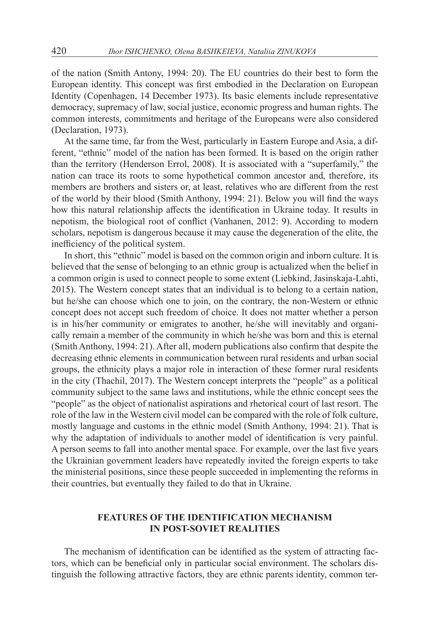of the nation (Smith Antony, 1994: 20). The EU countries do their best to form the European identity. This concept was first embodied in the Declaration on European Identity (Copenhagen, 14 December 1973). Its basic elements include representative democracy, supremacy of law, social justice, economic progress and human rights. The common interests, commitments and heritage of the Europeans were also considered (Declaration, 1973).

At the same time, far from the West, particularly in Eastern Europe and Asia, a different, "ethnic" model of the nation has been formed. It is based on the origin rather than the territory (Henderson Errol, 2008). It is associated with a "superfamily," the nation can trace its roots to some hypothetical common ancestor and, therefore, its members are brothers and sisters or, at least, relatives who are different from the rest of the world by their blood (Smith Anthony, 1994: 21). Below you will find the ways how this natural relationship affects the identification in Ukraine today. It results in nepotism, the biological root of conflict (Vanhanen, 2012: 9). According to modern scholars, nepotism is dangerous because it may cause the degeneration of the elite, the inefficiency of the political system.

In short, this "ethnic" model is based on the common origin and inborn culture. It is believed that the sense of belonging to an ethnic group is actualized when the belief in a common origin is used to connect people to some extent (Liebkind, Jasinskaja-Lahti, 2015). The Western concept states that an individual is to belong to a certain nation, but he/she can choose which one to join, on the contrary, the non-Western or ethnic concept does not accept such freedom of choice. It does not matter whether a person is in his/her community or emigrates to another, he/she will inevitably and organically remain a member of the community in which he/she was born and this is eternal (Smith Anthony, 1994: 21). After all, modern publications also confirm that despite the decreasing ethnic elements in communication between rural residents and urban social groups, the ethnicity plays a major role in interaction of these former rural residents in the city (Thachil, 2017). The Western concept interprets the "people" as a political community subject to the same laws and institutions, while the ethnic concept sees the "people" as the object of nationalist aspirations and rhetorical court of last resort. The role of the law in the Western civil model can be compared with the role of folk culture, mostly language and customs in the ethnic model (Smith Anthony, 1994: 21). That is why the adaptation of individuals to another model of identification is very painful. A person seems to fall into another mental space. For example, over the last five years the Ukrainian government leaders have repeatedly invited the foreign experts to take the ministerial positions, since these people succeeded in implementing the reforms in their countries, but eventually they failed to do that in Ukraine.

## **FEATURES OF THE IDENTIFICATION MECHANISM IN POST-SOVIET REALITIES**

The mechanism of identification can be identified as the system of attracting factors, which can be beneficial only in particular social environment. The scholars distinguish the following attractive factors, they are ethnic parents identity, common ter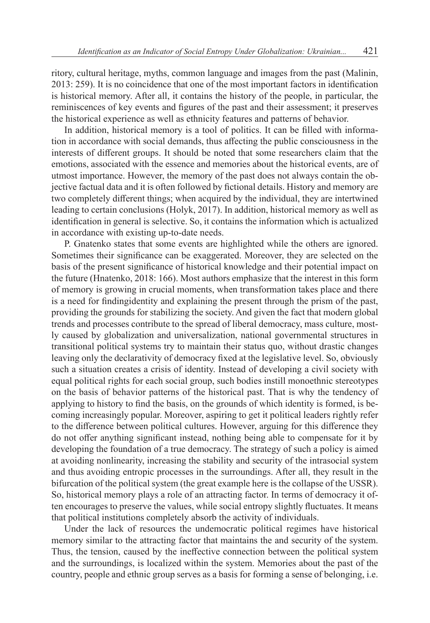ritory, cultural heritage, myths, common language and images from the past (Malinin, 2013: 259). It is no coincidence that one of the most important factors in identification is historical memory. After all, it contains the history of the people, in particular, the reminiscences of key events and figures of the past and their assessment; it preserves the historical experience as well as ethnicity features and patterns of behavior.

In addition, historical memory is a tool of politics. It can be filled with information in accordance with social demands, thus affecting the public consciousness in the interests of different groups. It should be noted that some researchers claim that the emotions, associated with the essence and memories about the historical events, are of utmost importance. However, the memory of the past does not always contain the objective factual data and it is often followed by fictional details. History and memory are two completely different things; when acquired by the individual, they are intertwined leading to certain conclusions (Holyk, 2017). In addition, historical memory as well as identification in general is selective. So, it contains the information which is actualized in accordance with existing up-to-date needs.

P. Gnatenko states that some events are highlighted while the others are ignored. Sometimes their significance can be exaggerated. Moreover, they are selected on the basis of the present significance of historical knowledge and their potential impact on the future (Hnatenko, 2018: 166). Most authors emphasize that the interest in this form of memory is growing in crucial moments, when transformation takes place and there is a need for findingidentity and explaining the present through the prism of the past, providing the grounds for stabilizing the society. And given the fact that modern global trends and processes contribute to the spread of liberal democracy, mass culture, mostly caused by globalization and universalization, national governmental structures in transitional political systems try to maintain their status quo, without drastic changes leaving only the declarativity of democracy fixed at the legislative level. So, obviously such a situation creates a crisis of identity. Instead of developing a civil society with equal political rights for each social group, such bodies instill monoethnic stereotypes on the basis of behavior patterns of the historical past. That is why the tendency of applying to history to find the basis, on the grounds of which identity is formed, is becoming increasingly popular. Moreover, aspiring to get it political leaders rightly refer to the difference between political cultures. However, arguing for this difference they do not offer anything significant instead, nothing being able to compensate for it by developing the foundation of a true democracy. The strategy of such a policy is aimed at avoiding nonlinearity, increasing the stability and security of the intrasocial system and thus avoiding entropic processes in the surroundings. After all, they result in the bifurcation of the political system (the great example here is the collapse of the USSR). So, historical memory plays a role of an attracting factor. In terms of democracy it often encourages to preserve the values, while social entropy slightly fluctuates. It means that political institutions completely absorb the activity of individuals.

Under the lack of resources the undemocratic political regimes have historical memory similar to the attracting factor that maintains the and security of the system. Thus, the tension, caused by the ineffective connection between the political system and the surroundings, is localized within the system. Memories about the past of the country, people and ethnic group serves as a basis for forming a sense of belonging, i.e.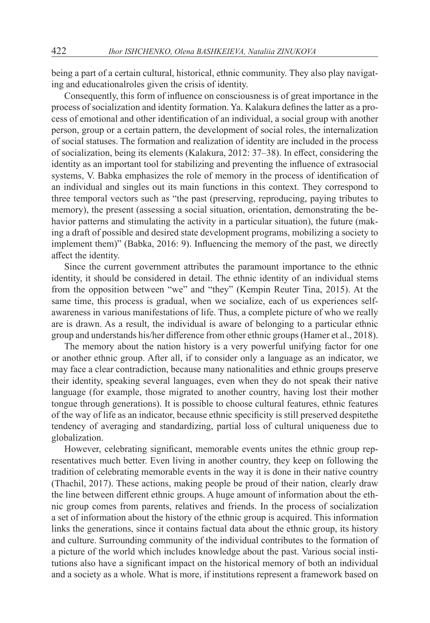being a part of a certain cultural, historical, ethnic community. They also play navigating and educationalroles given the crisis of identity.

Consequently, this form of influence on consciousness is of great importance in the process of socialization and identity formation. Ya. Kalakura defines the latter as a process of emotional and other identification of an individual, a social group with another person, group or a certain pattern, the development of social roles, the internalization of social statuses. The formation and realization of identity are included in the process of socialization, being its elements (Kalakura, 2012: 37–38). In effect, considering the identity as an important tool for stabilizing and preventing the influence of extrasocial systems, V. Babka emphasizes the role of memory in the process of identification of an individual and singles out its main functions in this context. They correspond to three temporal vectors such as "the past (preserving, reproducing, paying tributes to memory), the present (assessing a social situation, orientation, demonstrating the behavior patterns and stimulating the activity in a particular situation), the future (making a draft of possible and desired state development programs, mobilizing a society to implement them)" (Babka, 2016: 9). Influencing the memory of the past, we directly affect the identity.

Since the current government attributes the paramount importance to the ethnic identity, it should be considered in detail. The ethnic identity of an individual stems from the opposition between "we" and "they" (Kempin Reuter Tina, 2015). At the same time, this process is gradual, when we socialize, each of us experiences selfawareness in various manifestations of life. Thus, a complete picture of who we really are is drawn. As a result, the individual is aware of belonging to a particular ethnic group and understands his/her difference from other ethnic groups (Hamer et al., 2018).

The memory about the nation history is a very powerful unifying factor for one or another ethnic group. After all, if to consider only a language as an indicator, we may face a clear contradiction, because many nationalities and ethnic groups preserve their identity, speaking several languages, even when they do not speak their native language (for example, those migrated to another country, having lost their mother tongue through generations). It is possible to choose cultural features, ethnic features of the way of life as an indicator, because ethnic specificity is still preserved despitethe tendency of averaging and standardizing, partial loss of cultural uniqueness due to globalization.

However, celebrating significant, memorable events unites the ethnic group representatives much better. Even living in another country, they keep on following the tradition of celebrating memorable events in the way it is done in their native country (Thachil, 2017). These actions, making people be proud of their nation, clearly draw the line between different ethnic groups. A huge amount of information about the ethnic group comes from parents, relatives and friends. In the process of socialization a set of information about the history of the ethnic group is acquired. This information links the generations, since it contains factual data about the ethnic group, its history and culture. Surrounding community of the individual contributes to the formation of a picture of the world which includes knowledge about the past. Various social institutions also have a significant impact on the historical memory of both an individual and a society as a whole. What is more, if institutions represent a framework based on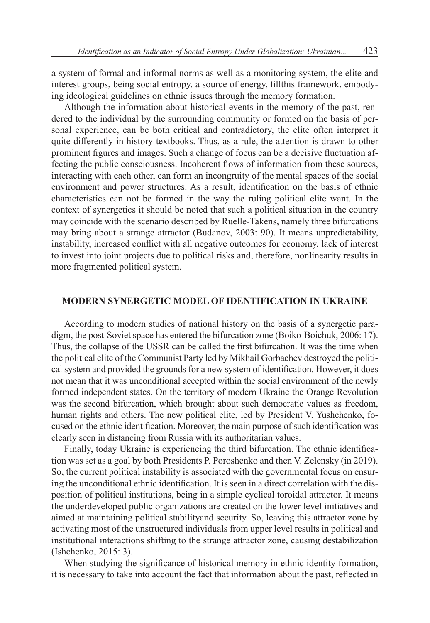a system of formal and informal norms as well as a monitoring system, the elite and interest groups, being social entropy, a source of energy, fillthis framework, embodying ideological guidelines on ethnic issues through the memory formation.

Although the information about historical events in the memory of the past, rendered to the individual by the surrounding community or formed on the basis of personal experience, can be both critical and contradictory, the elite often interpret it quite differently in history textbooks. Thus, as a rule, the attention is drawn to other prominent figures and images. Such a change of focus can be a decisive fluctuation affecting the public consciousness. Incoherent flows of information from these sources, interacting with each other, can form an incongruity of the mental spaces of the social environment and power structures. As a result, identification on the basis of ethnic characteristics can not be formed in the way the ruling political elite want. In the context of synergetics it should be noted that such a political situation in the country may coincide with the scenario described by Ruelle-Takens, namely three bifurcations may bring about a strange attractor (Budanov, 2003: 90). It means unpredictability, instability, increased conflict with all negative outcomes for economy, lack of interest to invest into joint projects due to political risks and, therefore, nonlinearity results in more fragmented political system.

#### **MODERN SYNERGETIC MODEL OF IDENTIFICATION IN UKRAINE**

According to modern studies of national history on the basis of a synergetic paradigm, the post-Soviet space has entered the bifurcation zone (Boiko-Boichuk, 2006: 17). Thus, the collapse of the USSR can be called the first bifurcation. It was the time when the political elite of the Communist Party led by Mikhail Gorbachev destroyed the political system and provided the grounds for a new system of identification. However, it does not mean that it was unconditional accepted within the social environment of the newly formed independent states. On the territory of modern Ukraine the Orange Revolution was the second bifurcation, which brought about such democratic values as freedom, human rights and others. The new political elite, led by President V. Yushchenko, focused on the ethnic identification. Moreover, the main purpose of such identification was clearly seen in distancing from Russia with its authoritarian values.

Finally, today Ukraine is experiencing the third bifurcation. The ethnic identification was set as a goal by both Presidents P. Poroshenko and then V. Zelensky (in 2019). So, the current political instability is associated with the governmental focus on ensuring the unconditional ethnic identification. It is seen in a direct correlation with the disposition of political institutions, being in a simple cyclical toroidal attractor. It means the underdeveloped public organizations are created on the lower level initiatives and aimed at maintaining political stabilityand security. So, leaving this attractor zone by activating most of the unstructured individuals from upper level results in political and institutional interactions shifting to the strange attractor zone, causing destabilization (Ishchenko, 2015: 3).

When studying the significance of historical memory in ethnic identity formation, it is necessary to take into account the fact that information about the past, reflected in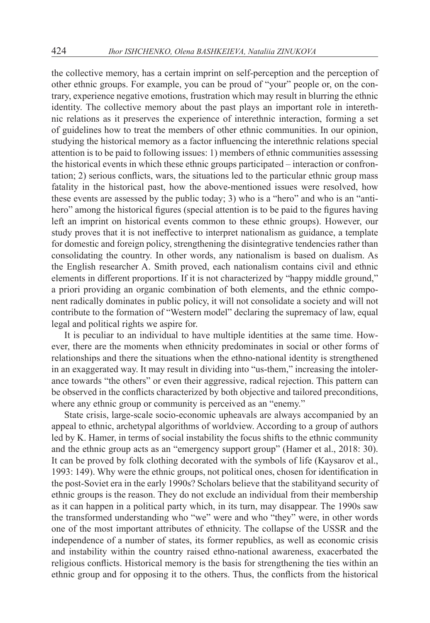the collective memory, has a certain imprint on self-perception and the perception of other ethnic groups. For example, you can be proud of "your" people or, on the contrary, experience negative emotions, frustration which may result in blurring the ethnic identity. The collective memory about the past plays an important role in interethnic relations as it preserves the experience of interethnic interaction, forming a set of guidelines how to treat the members of other ethnic communities. In our opinion, studying the historical memory as a factor influencing the interethnic relations special attention is to be paid to following issues: 1) members of ethnic communities assessing the historical events in which these ethnic groups participated – interaction or confrontation; 2) serious conflicts, wars, the situations led to the particular ethnic group mass fatality in the historical past, how the above-mentioned issues were resolved, how these events are assessed by the public today; 3) who is a "hero" and who is an "antihero" among the historical figures (special attention is to be paid to the figures having left an imprint on historical events common to these ethnic groups). However, our study proves that it is not ineffective to interpret nationalism as guidance, a template for domestic and foreign policy, strengthening the disintegrative tendencies rather than consolidating the country. In other words, any nationalism is based on dualism. As the English researcher A. Smith proved, each nationalism contains civil and ethnic elements in different proportions. If it is not characterized by "happy middle ground," a priori providing an organic combination of both elements, and the ethnic component radically dominates in public policy, it will not consolidate a society and will not contribute to the formation of "Western model" declaring the supremacy of law, equal legal and political rights we aspire for.

It is peculiar to an individual to have multiple identities at the same time. However, there are the moments when ethnicity predominates in social or other forms of relationships and there the situations when the ethno-national identity is strengthened in an exaggerated way. It may result in dividing into "us-them," increasing the intolerance towards "the others" or even their aggressive, radical rejection. This pattern can be observed in the conflicts characterized by both objective and tailored preconditions, where any ethnic group or community is perceived as an "enemy."

State crisis, large-scale socio-economic upheavals are always accompanied by an appeal to ethnic, archetypal algorithms of worldview. According to a group of authors led by K. Hamer, in terms of social instability the focus shifts to the ethnic community and the ethnic group acts as an "emergency support group" (Hamer et al., 2018: 30). It can be proved by folk clothing decorated with the symbols of life (Kaysarov et al., 1993: 149). Why were the ethnic groups, not political ones, chosen for identification in the post-Soviet era in the early 1990s? Scholars believe that the stabilityand security of ethnic groups is the reason. They do not exclude an individual from their membership as it can happen in a political party which, in its turn, may disappear. The 1990s saw the transformed understanding who "we" were and who "they" were, in other words one of the most important attributes of ethnicity. The collapse of the USSR and the independence of a number of states, its former republics, as well as economic crisis and instability within the country raised ethno-national awareness, exacerbated the religious conflicts. Historical memory is the basis for strengthening the ties within an ethnic group and for opposing it to the others. Thus, the conflicts from the historical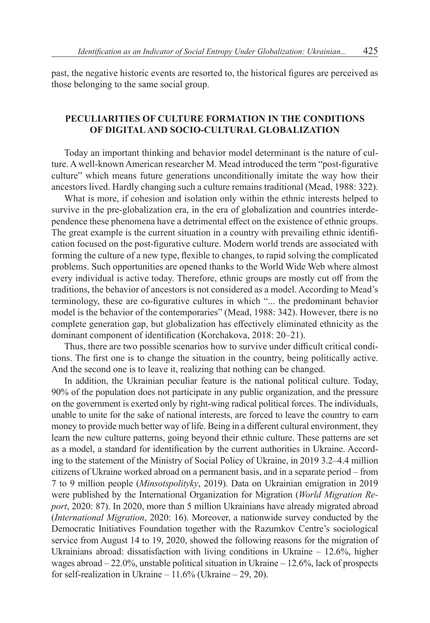past, the negative historic events are resorted to, the historical figures are perceived as those belonging to the same social group.

## **PECULIARITIES OF CULTURE FORMATION IN THE CONDITIONS OF DIGITAL AND SOCIO-CULTURAL GLOBALIZATION**

Today an important thinking and behavior model determinant is the nature of culture. A well-known American researcher M. Mead introduced the term "post-figurative culture" which means future generations unconditionally imitate the way how their ancestors lived. Hardly changing such a culture remains traditional (Mead, 1988: 322).

What is more, if cohesion and isolation only within the ethnic interests helped to survive in the pre-globalization era, in the era of globalization and countries interdependence these phenomena have a detrimental effect on the existence of ethnic groups. The great example is the current situation in a country with prevailing ethnic identification focused on the post-figurative culture. Modern world trends are associated with forming the culture of a new type, flexible to changes, to rapid solving the complicated problems. Such opportunities are opened thanks to the World Wide Web where almost every individual is active today. Therefore, ethnic groups are mostly cut off from the traditions, the behavior of ancestors is not considered as a model. According to Mead's terminology, these are co-figurative cultures in which "... the predominant behavior model is the behavior of the contemporaries" (Mead, 1988: 342). However, there is no complete generation gap, but globalization has effectively eliminated ethnicity as the dominant component of identification (Korchakova, 2018: 20–21).

Thus, there are two possible scenarios how to survive under difficult critical conditions. The first one is to change the situation in the country, being politically active. And the second one is to leave it, realizing that nothing can be changed.

In addition, the Ukrainian peculiar feature is the national political culture. Today, 90% of the population does not participate in any public organization, and the pressure on the government is exerted only by right-wing radical political forces. The individuals, unable to unite for the sake of national interests, are forced to leave the country to earn money to provide much better way of life. Being in a different cultural environment, they learn the new culture patterns, going beyond their ethnic culture. These patterns are set as a model, a standard for identification by the current authorities in Ukraine. According to the statement of the Ministry of Social Policy of Ukraine, in 2019 3.2–4.4 million citizens of Ukraine worked abroad on a permanent basis, and in a separate period – from 7 to 9 million people (*Minsotspolityky*, 2019). Data on Ukrainian emigration in 2019 were published by the International Organization for Migration (*World Migration Report*, 2020: 87). In 2020, more than 5 million Ukrainians have already migrated abroad (*International Migration*, 2020: 16). Moreover, a nationwide survey conducted by the Democratic Initiatives Foundation together with the Razumkov Centre's sociological service from August 14 to 19, 2020, showed the following reasons for the migration of Ukrainians abroad: dissatisfaction with living conditions in Ukraine – 12.6%, higher wages abroad – 22.0%, unstable political situation in Ukraine – 12.6%, lack of prospects for self-realization in Ukraine – 11.6% (Ukraine – 29, 20).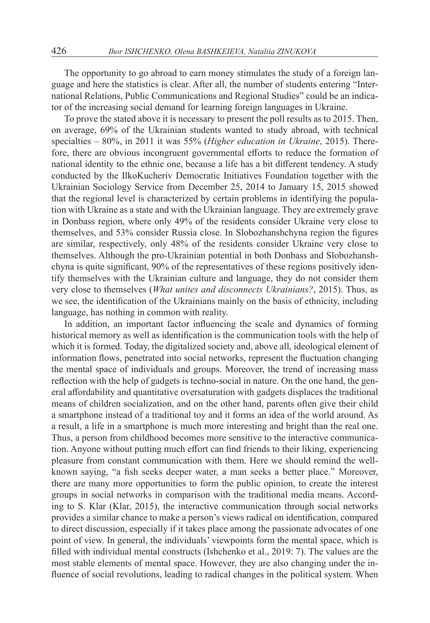The opportunity to go abroad to earn money stimulates the study of a foreign language and here the statistics is clear. After all, the number of students entering "International Relations, Public Communications and Regional Studies" could be an indicator of the increasing social demand for learning foreign languages in Ukraine.

To prove the stated above it is necessary to present the poll results as to 2015. Then, on average, 69% of the Ukrainian students wanted to study abroad, with technical specialties – 80%, in 2011 it was 55% (*Higher education in Ukraine*, 2015). Therefore, there are obvious incongruent governmental efforts to reduce the formation of national identity to the ethnic one, because a life has a bit different tendency. A study conducted by the IlkoKucheriv Democratic Initiatives Foundation together with the Ukrainian Sociology Service from December 25, 2014 to January 15, 2015 showed that the regional level is characterized by certain problems in identifying the population with Ukraine as a state and with the Ukrainian language. They are extremely grave in Donbass region, where only 49% of the residents consider Ukraine very close to themselves, and 53% consider Russia close. In Slobozhanshchyna region the figures are similar, respectively, only 48% of the residents consider Ukraine very close to themselves. Although the pro-Ukrainian potential in both Donbass and Slobozhanshchyna is quite significant, 90% of the representatives of these regions positively identify themselves with the Ukrainian culture and language, they do not consider them very close to themselves (*What unites and disconnects Ukrainians?*, 2015). Thus, as we see, the identification of the Ukrainians mainly on the basis of ethnicity, including language, has nothing in common with reality.

In addition, an important factor influencing the scale and dynamics of forming historical memory as well as identification is the communication tools with the help of which it is formed. Today, the digitalized society and, above all, ideological element of information flows, penetrated into social networks, represent the fluctuation changing the mental space of individuals and groups. Moreover, the trend of increasing mass reflection with the help of gadgets is techno-social in nature. On the one hand, the general affordability and quantitative oversaturation with gadgets displaces the traditional means of children socialization, and on the other hand, parents often give their child a smartphone instead of a traditional toy and it forms an idea of the world around. As a result, a life in a smartphone is much more interesting and bright than the real one. Thus, a person from childhood becomes more sensitive to the interactive communication. Anyone without putting much effort can find friends to their liking, experiencing pleasure from constant communication with them. Here we should remind the wellknown saying, "a fish seeks deeper water, a man seeks a better place." Moreover, there are many more opportunities to form the public opinion, to create the interest groups in social networks in comparison with the traditional media means. According to S. Klar (Klar, 2015), the interactive communication through social networks provides a similar chance to make a person's views radical on identification, compared to direct discussion, especially if it takes place among the passionate advocates of one point of view. In general, the individuals' viewpoints form the mental space, which is filled with individual mental constructs (Ishchenko et al., 2019: 7). The values are the most stable elements of mental space. However, they are also changing under the influence of social revolutions, leading to radical changes in the political system. When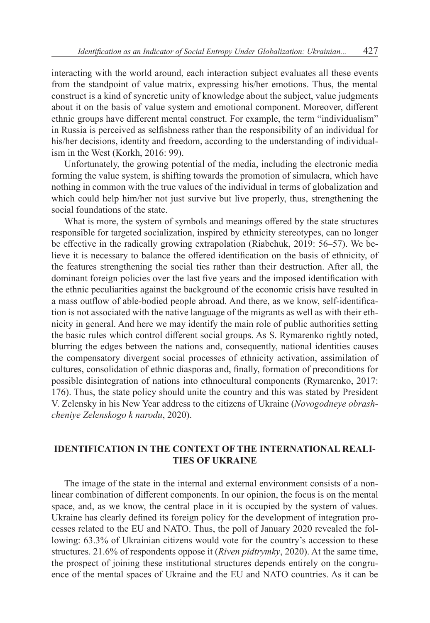interacting with the world around, each interaction subject evaluates all these events from the standpoint of value matrix, expressing his/her emotions. Thus, the mental construct is a kind of syncretic unity of knowledge about the subject, value judgments about it on the basis of value system and emotional component. Moreover, different ethnic groups have different mental construct. For example, the term "individualism" in Russia is perceived as selfishness rather than the responsibility of an individual for his/her decisions, identity and freedom, according to the understanding of individualism in the West (Korkh, 2016: 99).

Unfortunately, the growing potential of the media, including the electronic media forming the value system, is shifting towards the promotion of simulacra, which have nothing in common with the true values of the individual in terms of globalization and which could help him/her not just survive but live properly, thus, strengthening the social foundations of the state.

What is more, the system of symbols and meanings offered by the state structures responsible for targeted socialization, inspired by ethnicity stereotypes, can no longer be effective in the radically growing extrapolation (Riabchuk, 2019: 56–57). We believe it is necessary to balance the offered identification on the basis of ethnicity, of the features strengthening the social ties rather than their destruction. After all, the dominant foreign policies over the last five years and the imposed identification with the ethnic peculiarities against the background of the economic crisis have resulted in a mass outflow of able-bodied people abroad. And there, as we know, self-identification is not associated with the native language of the migrants as well as with their ethnicity in general. And here we may identify the main role of public authorities setting the basic rules which control different social groups. As S. Rymarenko rightly noted, blurring the edges between the nations and, consequently, national identities causes the compensatory divergent social processes of ethnicity activation, assimilation of cultures, consolidation of ethnic diasporas and, finally, formation of preconditions for possible disintegration of nations into ethnocultural components (Rymarenko, 2017: 176). Thus, the state policy should unite the country and this was stated by President V. Zelensky in his New Year address to the citizens of Ukraine (*Novogodneye obrashcheniye Zelenskogo k narodu*, 2020).

## **IDENTIFICATION IN THE CONTEXT OF THE INTERNATIONAL REALI-TIES OF UKRAINE**

The image of the state in the internal and external environment consists of a nonlinear combination of different components. In our opinion, the focus is on the mental space, and, as we know, the central place in it is occupied by the system of values. Ukraine has clearly defined its foreign policy for the development of integration processes related to the EU and NATO. Thus, the poll of January 2020 revealed the following: 63.3% of Ukrainian citizens would vote for the country's accession to these structures. 21.6% of respondents oppose it (*Riven pidtrymky*, 2020). At the same time, the prospect of joining these institutional structures depends entirely on the congruence of the mental spaces of Ukraine and the EU and NATO countries. As it can be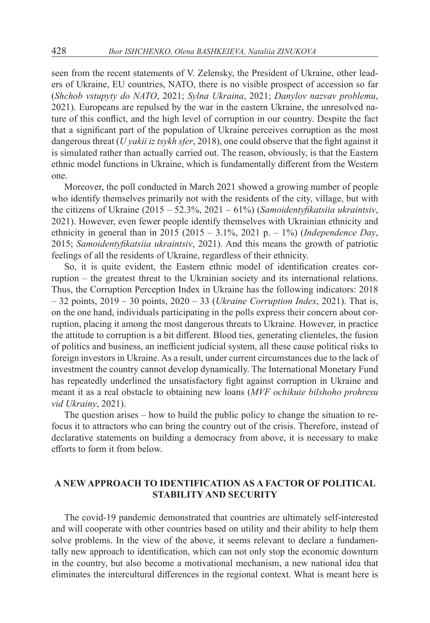seen from the recent statements of V. Zelensky, the President of Ukraine, other leaders of Ukraine, EU countries, NATO, there is no visible prospect of accession so far (*Shchob vstupyty do NATO*, 2021; *Sylna Ukraina*, 2021; *Danylov nazvav problemu*, 2021). Europeans are repulsed by the war in the eastern Ukraine, the unresolved nature of this conflict, and the high level of corruption in our country. Despite the fact that a significant part of the population of Ukraine perceives corruption as the most dangerous threat (*U yakii iz tsykh sfer*, 2018), one could observe that the fight against it is simulated rather than actually carried out. The reason, obviously, is that the Eastern ethnic model functions in Ukraine, which is fundamentally different from the Western one.

Moreover, the poll conducted in March 2021 showed a growing number of people who identify themselves primarily not with the residents of the city, village, but with the citizens of Ukraine (2015 – 52.3%, 2021 – 61%) (*Samoidentyfikatsiia ukraintsiv*, 2021). However, even fewer people identify themselves with Ukrainian ethnicity and ethnicity in general than in 2015 (2015 – 3.1%, 2021 р. – 1%) (*Independence Day*, 2015; *Samoidentyfikatsiia ukraintsiv*, 2021). And this means the growth of patriotic feelings of all the residents of Ukraine, regardless of their ethnicity.

So, it is quite evident, the Eastern ethnic model of identification creates corruption – the greatest threat to the Ukrainian society and its international relations. Thus, the Corruption Perception Index in Ukraine has the following indicators: 2018 – 32 points, 2019 – 30 points, 2020 – 33 (*Ukraine Corruption Index*, 2021). That is, on the one hand, individuals participating in the polls express their concern about corruption, placing it among the most dangerous threats to Ukraine. However, in practice the attitude to corruption is a bit different. Blood ties, generating clienteles, the fusion of politics and business, an inefficient judicial system, all these cause political risks to foreign investors in Ukraine. As a result, under current circumstances due to the lack of investment the country cannot develop dynamically. The International Monetary Fund has repeatedly underlined the unsatisfactory fight against corruption in Ukraine and meant it as a real obstacle to obtaining new loans (*MVF ochikuie bilshoho prohresu vid Ukrainy*, 2021).

The question arises – how to build the public policy to change the situation to refocus it to attractors who can bring the country out of the crisis. Therefore, instead of declarative statements on building a democracy from above, it is necessary to make efforts to form it from below.

# **A NEW APPROACH TO IDENTIFICATION AS A FACTOR OF POLITICAL STABILITY AND SECURITY**

The covid-19 pandemic demonstrated that countries are ultimately self-interested and will cooperate with other countries based on utility and their ability to help them solve problems. In the view of the above, it seems relevant to declare a fundamentally new approach to identification, which can not only stop the economic downturn in the country, but also become a motivational mechanism, a new national idea that eliminates the intercultural differences in the regional context. What is meant here is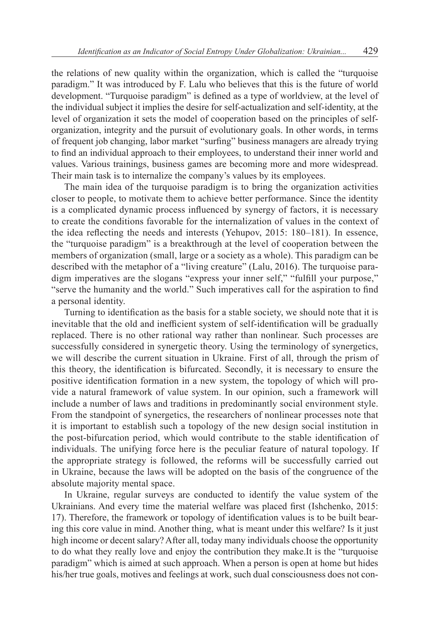the relations of new quality within the organization, which is called the "turquoise paradigm." It was introduced by F. Lalu who believes that this is the future of world development. "Turquoise paradigm" is defined as a type of worldview, at the level of the individual subject it implies the desire for self-actualization and self-identity, at the level of organization it sets the model of cooperation based on the principles of selforganization, integrity and the pursuit of evolutionary goals. In other words, in terms of frequent job changing, labor market "surfing" business managers are already trying to find an individual approach to their employees, to understand their inner world and values. Various trainings, business games are becoming more and more widespread. Their main task is to internalize the company's values by its employees.

The main idea of the turquoise paradigm is to bring the organization activities closer to people, to motivate them to achieve better performance. Since the identity is a complicated dynamic process influenced by synergy of factors, it is necessary to create the conditions favorable for the internalization of values in the context of the idea reflecting the needs and interests (Yehupov, 2015: 180–181). In essence, the "turquoise paradigm" is a breakthrough at the level of cooperation between the members of organization (small, large or a society as a whole). This paradigm can be described with the metaphor of a "living creature" (Lalu, 2016). The turquoise paradigm imperatives are the slogans "express your inner self," "fulfill your purpose," "serve the humanity and the world." Such imperatives call for the aspiration to find a personal identity.

Turning to identification as the basis for a stable society, we should note that it is inevitable that the old and inefficient system of self-identification will be gradually replaced. There is no other rational way rather than nonlinear. Such processes are successfully considered in synergetic theory. Using the terminology of synergetics, we will describe the current situation in Ukraine. First of all, through the prism of this theory, the identification is bifurcated. Secondly, it is necessary to ensure the positive identification formation in a new system, the topology of which will provide a natural framework of value system. In our opinion, such a framework will include a number of laws and traditions in predominantly social environment style. From the standpoint of synergetics, the researchers of nonlinear processes note that it is important to establish such a topology of the new design social institution in the post-bifurcation period, which would contribute to the stable identification of individuals. The unifying force here is the peculiar feature of natural topology. If the appropriate strategy is followed, the reforms will be successfully carried out in Ukraine, because the laws will be adopted on the basis of the congruence of the absolute majority mental space.

In Ukraine, regular surveys are conducted to identify the value system of the Ukrainians. And every time the material welfare was placed first (Ishchenko, 2015: 17). Therefore, the framework or topology of identification values is to be built bearing this core value in mind. Another thing, what is meant under this welfare? Is it just high income or decent salary? After all, today many individuals choose the opportunity to do what they really love and enjoy the contribution they make.It is the "turquoise paradigm" which is aimed at such approach. When a person is open at home but hides his/her true goals, motives and feelings at work, such dual consciousness does not con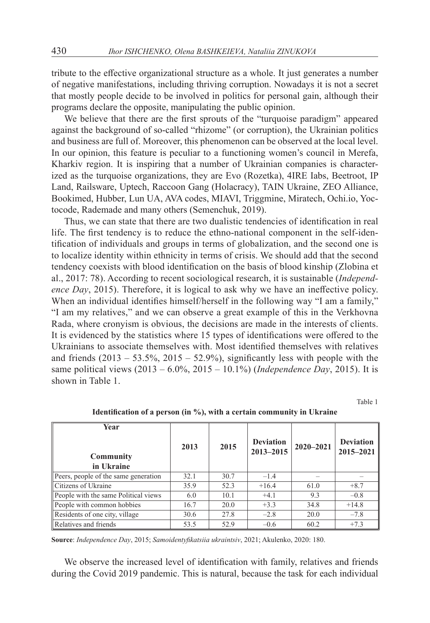tribute to the effective organizational structure as a whole. It just generates a number of negative manifestations, including thriving corruption. Nowadays it is not a secret that mostly people decide to be involved in politics for personal gain, although their programs declare the opposite, manipulating the public opinion.

We believe that there are the first sprouts of the "turquoise paradigm" appeared against the background of so-called "rhizome" (or corruption), the Ukrainian politics and business are full of. Moreover, this phenomenon can be observed at the local level. In our opinion, this feature is peculiar to a functioning women's council in Merefa, Kharkiv region. It is inspiring that a number of Ukrainian companies is characterized as the turquoise organizations, they are Evo (Rozetka), 4IRE Iabs, Beetroot, IP Land, Railsware, Uptech, Raccoon Gang (Holacracy), TAIN Ukraine, ZEO Alliance, Bookimed, Hubber, Lun UA, AVA codes, MIAVI, Triggmine, Miratech, Ochi.io, Yoctocode, Rademade and many others (Semenchuk, 2019).

Thus, we can state that there are two dualistic tendencies of identification in real life. The first tendency is to reduce the ethno-national component in the self-identification of individuals and groups in terms of globalization, and the second one is to localize identity within ethnicity in terms of crisis. We should add that the second tendency coexists with blood identification on the basis of blood kinship (Zlobina et al., 2017: 78). According to recent sociological research, it is sustainable (*Independence Day*, 2015). Therefore, it is logical to ask why we have an ineffective policy. When an individual identifies himself/herself in the following way "I am a family," "I am my relatives," and we can observe a great example of this in the Verkhovna Rada, where cronyism is obvious, the decisions are made in the interests of clients. It is evidenced by the statistics where 15 types of identifications were offered to the Ukrainians to associate themselves with. Most identified themselves with relatives and friends  $(2013 - 53.5\%, 2015 - 52.9\%)$ , significantly less with people with the same political views (2013 – 6.0%, 2015 – 10.1%) (*Independence Day*, 2015). It is shown in Table 1.

Table 1

| Year<br><b>Community</b><br>in Ukraine | 2013 | 2015 | <b>Deviation</b><br>2013-2015 | $2020 - 2021$ | <b>Deviation</b><br>2015-2021 |
|----------------------------------------|------|------|-------------------------------|---------------|-------------------------------|
| Peers, people of the same generation   | 32.1 | 30.7 | $-1.4$                        |               |                               |
| Citizens of Ukraine                    | 35.9 | 52.3 | $+16.4$                       | 61.0          | $+8.7$                        |
| People with the same Political views   | 6.0  | 10.1 | $+4.1$                        | 9.3           | $-0.8$                        |
| People with common hobbies             | 16.7 | 20.0 | $+3.3$                        | 34.8          | $+14.8$                       |
| Residents of one city, village         | 30.6 | 27.8 | $-2.8$                        | 20.0          | $-7.8$                        |
| Relatives and friends                  | 53.5 | 52.9 | $-0.6$                        | 60.2          | $+7.3$                        |

**Identification of a person (in %), with a certain community in Ukraine**

**Source**: *Independence Day*, 2015; *Samoidentyfikatsiia ukraintsiv*, 2021; Akulenko, 2020: 180.

We observe the increased level of identification with family, relatives and friends during the Covid 2019 pandemic. This is natural, because the task for each individual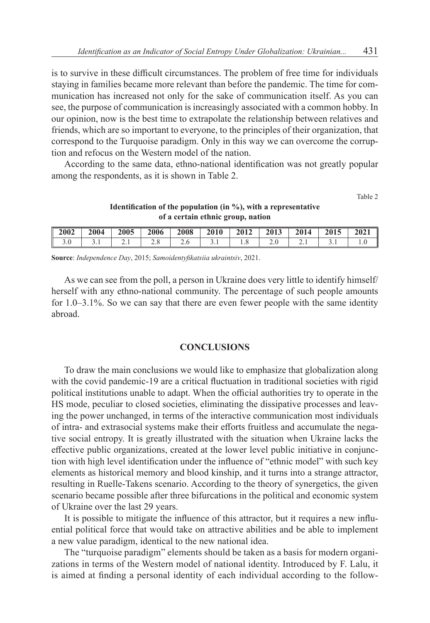is to survive in these difficult circumstances. The problem of free time for individuals staying in families became more relevant than before the pandemic. The time for communication has increased not only for the sake of communication itself. As you can see, the purpose of communication is increasingly associated with a common hobby. In our opinion, now is the best time to extrapolate the relationship between relatives and friends, which are so important to everyone, to the principles of their organization, that correspond to the Turquoise paradigm. Only in this way we can overcome the corruption and refocus on the Western model of the nation.

According to the same data, ethno-national identification was not greatly popular among the respondents, as it is shown in Table 2.

Table 2

#### **Identification of the population (in %), with a representative of a certain ethnic group, nation**

| $\parallel$ 2002 $\parallel$ 2004 $\parallel$ 2005 $\parallel$ 2006 $\parallel$ 2008 $\parallel$ 2010 $\parallel$ 2012 $\parallel$ 2013 $\parallel$ 2014 $\parallel$ 2015 $\parallel$ 2021 |  |  |  |  |  |
|--------------------------------------------------------------------------------------------------------------------------------------------------------------------------------------------|--|--|--|--|--|
|                                                                                                                                                                                            |  |  |  |  |  |

**Source**: *Independence Day*, 2015; *Samoidentyfikatsiia ukraintsiv*, 2021.

As we can see from the poll, a person in Ukraine does very little to identify himself/ herself with any ethno-national community. The percentage of such people amounts for 1.0–3.1%. So we can say that there are even fewer people with the same identity abroad.

#### **CONCLUSIONS**

To draw the main conclusions we would like to emphasize that globalization along with the covid pandemic-19 are a critical fluctuation in traditional societies with rigid political institutions unable to adapt. When the official authorities try to operate in the HS mode, peculiar to closed societies, eliminating the dissipative processes and leaving the power unchanged, in terms of the interactive communication most individuals of intra- and extrasocial systems make their efforts fruitless and accumulate the negative social entropy. It is greatly illustrated with the situation when Ukraine lacks the effective public organizations, created at the lower level public initiative in conjunction with high level identification under the influence of "ethnic model" with such key elements as historical memory and blood kinship, and it turns into a strange attractor, resulting in Ruelle-Takens scenario. According to the theory of synergetics, the given scenario became possible after three bifurcations in the political and economic system of Ukraine over the last 29 years.

It is possible to mitigate the influence of this attractor, but it requires a new influential political force that would take on attractive abilities and be able to implement a new value paradigm, identical to the new national idea.

The "turquoise paradigm" elements should be taken as a basis for modern organizations in terms of the Western model of national identity. Introduced by F. Lalu, it is aimed at finding a personal identity of each individual according to the follow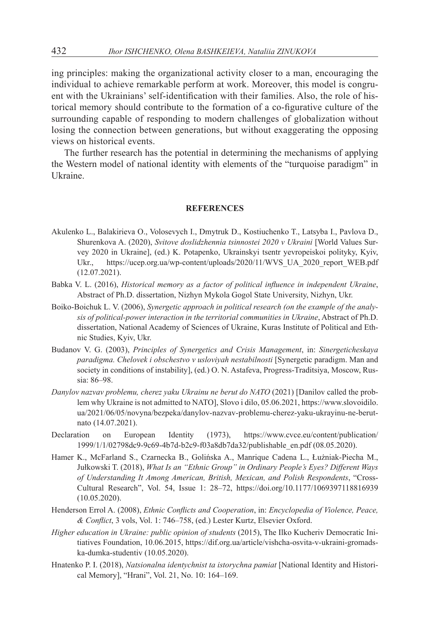ing principles: making the organizational activity closer to a man, encouraging the individual to achieve remarkable perform at work. Moreover, this model is congruent with the Ukrainians' self-identification with their families. Also, the role of historical memory should contribute to the formation of a co-figurative culture of the surrounding capable of responding to modern challenges of globalization without losing the connection between generations, but without exaggerating the opposing views on historical events.

The further research has the potential in determining the mechanisms of applying the Western model of national identity with elements of the "turquoise paradigm" in Ukraine.

#### **REFERENCES**

- Akulenko L., Balakirieva O., Volosevych I., Dmytruk D., Kostiuchenko T., Latsyba I., Pavlova D., Shurenkova A. (2020), *Svitove doslidzhennia tsinnostei 2020 v Ukraini* [World Values Survey 2020 in Ukraine], (ed.) K. Potapenko, Ukrainskyi tsentr yevropeiskoi polityky, Kyiv, Ukr., https://ucep.org.ua/wp-content/uploads/2020/11/WVS\_UA\_2020\_report\_WEB.pdf (12.07.2021).
- Babka V. L. (2016), *Historical memory as a factor of political influence in independent Ukraine*, Abstract of Ph.D. dissertation, Nizhyn Mykola Gogol State University, Nizhyn, Ukr.
- Boiko-Boichuk L. V. (2006), *Synergetic approach in political research (on the example of the analysis of political-power interaction in the territorial communities in Ukraine*, Abstract of Ph.D. dissertation, National Academy of Sciences of Ukraine, Kuras Institute of Political and Ethnic Studies, Kyiv, Ukr.
- Budanov V. G. (2003), *Principles of Synergetics and Crisis Management*, in: *Sinergeticheskaya paradigma. Chelovek i obschestvo v usloviyah nestabilnosti* [Synergetic paradigm. Man and society in conditions of instability], (ed.) O. N. Astafeva, Progress-Traditsiya, Moscow, Russia: 86–98.
- *Danylov nazvav problemu, cherez yaku Ukrainu ne berut do NATO* (2021) [Danilov called the problem why Ukraine is not admitted to NATO], Slovo i dilo, 05.06.2021, https://www.slovoidilo. ua/2021/06/05/novyna/bezpeka/danylov-nazvav-problemu-cherez-yaku-ukrayinu-ne-berutnato (14.07.2021).
- Declaration on European Identity (1973), https://www.cvce.eu/content/publication/ 1999/1/1/02798dc9-9c69-4b7d-b2c9-f03a8db7da32/publishable\_en.pdf (08.05.2020).
- Hamer K., McFarland S., Czarnecka B., Golińska A., Manrique Cadena L., Łużniak-Piecha M., Jułkowski T. (2018), *What Is an "Ethnic Group" in Ordinary People's Eyes? Different Ways of Understanding It Among American, British, Mexican, and Polish Respondents*, "Cross-Cultural Research", Vol. 54, Issue 1: 28–72, https://doi.org/10.1177/1069397118816939 (10.05.2020).
- Henderson Errol A. (2008), *Ethnic Conflicts and Cooperation*, in: *Encyclopedia of Violence, Peace, & Conflict*, 3 vols, Vol. 1: 746–758, (ed.) Lester Kurtz, Elsevier Oxford.
- *Higher education in Ukraine: public opinion of students* (2015), The Ilko Kucheriv Democratic Initiatives Foundation, 10.06.2015, https://dif.org.ua/article/vishcha-osvita-v-ukraini-gromadska-dumka-studentiv (10.05.2020).
- Hnatenko P. I. (2018), *Natsionalna identychnist ta istorychna pamiat* [National Identity and Historical Memory], "Hrani", Vol. 21, No. 10: 164–169.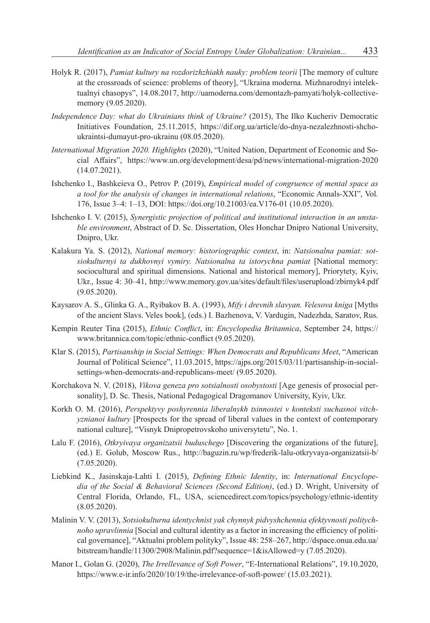- Holyk R. (2017), *Pamiat kultury na rozdorizhzhiakh nauky: problem teorii* [The memory of culture at the crossroads of science: problems of theory], "Ukraina moderna. Mizhnarodnyi intelektualnyi chasopys", 14.08.2017, http://uamoderna.com/demontazh-pamyati/holyk-collectivememory (9.05.2020).
- *Independence Day: what do Ukrainians think of Ukraine?* (2015), The Ilko Kucheriv Democratic Initiatives Foundation, 25.11.2015, https://dif.org.ua/article/do-dnya-nezalezhnosti-shchoukraintsi-dumayut-pro-ukrainu (08.05.2020).
- *International Migration 2020. Highlights* (2020), "United Nation, Department of Economic and Social Affairs", https://www.un.org/development/desa/pd/news/international-migration-2020 (14.07.2021).
- Іshchenko I., Bashkeieva O., Petrov P. (2019), *Empirical model of congruence of mental space as a tool for the analysis of changes in international relations*, "Economic Annals-XXI", Vol. 176, Issue 3–4: 1–13, DOI: https://doi.org/10.21003/ea.V176-01 (10.05.2020).
- Ishchenko I. V. (2015), *Synergistic projection of political and institutional interaction in an unstable environment*, Abstract of D. Sc. Dissertation, Oles Honchar Dnipro National University, Dnipro, Ukr.
- Kalakura Ya. S. (2012), *National memory: historiographic context*, in: *Natsionalna pamiat: sotsiokulturnyi ta dukhovnyi vymiry. Natsionalna ta istorychna pamiat* [National memory: sociocultural and spiritual dimensions. National and historical memory], Priorytety, Kyiv, Ukr., Issue 4: 30–41, http://www.memory.gov.ua/sites/default/files/userupload/zbirnyk4.pdf (9.05.2020).
- Kaysarov A. S., Glinka G. A., Ryibakov B. A. (1993), *Mify i drevnih slavyan. Velesova kniga* [Myths of the ancient Slavs. Veles book], (eds.) I. Bazhenova, V. Vardugin, Nadezhda, Saratov, Rus.
- Kempin Reuter Tina (2015), *Ethnic Conflict*, in: *Encyclopedia Britannica*, September 24, https:// www.britannica.com/topic/ethnic-conflict (9.05.2020).
- Klar S. (2015), *Partisanship in Social Settings: When Democrats and Republicans Meet*, "American Journal of Political Science", 11.03.2015, https://ajps.org/2015/03/11/partisanship-in-socialsettings-when-democrats-and-republicans-meet/ (9.05.2020).
- Korchakova N. V. (2018), *Vikova geneza pro sotsialnosti osobystosti* [Age genesis of prosocial personality], D. Sc. Thesis, National Pedagogical Dragomanov University, Кyiv, Ukr.
- Korkh O. M. (2016), *Perspektyvy poshyrennia liberalnykh tsinnostei v konteksti suchasnoi vitchyznianoi kultury* [Prospects for the spread of liberal values in the context of contemporary national culture], "Visnyk Dnipropetrovskoho universytetu", No. 1.
- Lalu F. (2016), *Otkryivaya organizatsii buduschego* [Discovering the organizations of the future], (ed.) E. Golub, Moscow Rus., http://baguzin.ru/wp/frederik-lalu-otkryvaya-organizatsii-b/ (7.05.2020).
- Liebkind K., Jasinskaja-Lahti I. (2015), *Defining Ethnic Identity*, in: *International Encyclopedia of the Social & Behavioral Sciences (Second Edition)*, (ed.) D. Wright, University of Central Florida, Orlando, FL, USA, sciencedirect.com/topics/psychology/ethnic-identity (8.05.2020).
- Malinin V. V. (2013), *Sotsiokulturna identychnist yak chynnyk pidvyshchennia efektyvnosti politychnoho upravlinnia* [Social and cultural identity as a factor in increasing the efficiency of political governance], "Aktualni problem polityky", Issue 48: 258–267, http://dspace.onua.edu.ua/ bitstream/handle/11300/2908/Malinin.pdf?sequence=1&isAllowed=y (7.05.2020).
- Manor І., Golan G. (2020), *The Irrellevance of Soft Power*, "E-International Relations", 19.10.2020, https://www.e-ir.info/2020/10/19/the-irrelevance-of-soft-power/ (15.03.2021).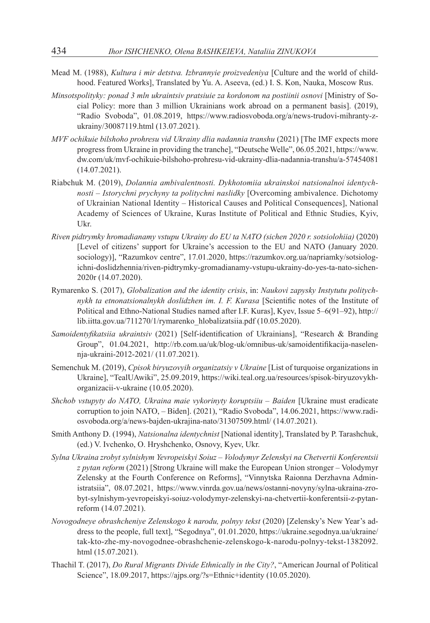- Mead M. (1988), *Kultura i mir detstva. Izbrannyie proizvedeniya* [Culture and the world of childhood. Featured Works], Translated by Yu. A. Aseeva, (ed.) I. S. Kon, Nauka, Moscow Rus.
- *Minsotspolityky: ponad 3 mln ukraintsiv pratsiuie za kordonom na postiinii osnovi* [Ministry of Social Policy: more than 3 million Ukrainians work abroad on a permanent basis]. (2019), "Radio Svoboda", 01.08.2019, https://www.radiosvoboda.org/a/news-trudovi-mihranty-zukrainy/30087119.html (13.07.2021).
- *MVF ochikuie bilshoho prohresu vid Ukrainy dlia nadannia transhu* (2021) [The IMF expects more progress from Ukraine in providing the tranche], "Deutsche Welle", 06.05.2021, https://www. dw.com/uk/mvf-ochikuie-bilshoho-prohresu-vid-ukrainy-dlia-nadannia-transhu/a-57454081 (14.07.2021).
- Riabchuk M. (2019), *Dolannia ambivalentnosti. Dykhotomiia ukrainskoi natsionalnoi identychnosti – Istorychni prychyny ta politychni naslidky* [Overcoming ambivalence. Dichotomy of Ukrainian National Identity – Historical Causes and Political Consequences], National Academy of Sciences of Ukraine, Kuras Institute of Political and Ethnic Studies, Kyiv, Ukr.
- *Riven pidtrymky hromadianamy vstupu Ukrainy do EU ta NATO (sichen 2020 r. sotsiolohiia)* (2020) [Level of citizens' support for Ukraine's accession to the EU and NATO (January 2020. sociology)], "Razumkov centre", 17.01.2020, https://razumkov.org.ua/napriamky/sotsiologichni-doslidzhennia/riven-pidtrymky-gromadianamy-vstupu-ukrainy-do-yes-ta-nato-sichen-2020r (14.07.2020).
- Rymarenko S. (2017), *Globalization and the identity crisis*, in: *Naukovi zapysky Instytutu politychnykh ta etnonatsionalnykh doslidzhen im. I. F. Kurasa* [Scientific notes of the Institute of Political and Ethno-National Studies named after I.F. Kuras], Kyev, Issue 5–6(91–92), http:// lib.iitta.gov.ua/711270/1/rymarenko\_hlobalizatsiia.pdf (10.05.2020).
- *Samoidentyfikatsiia ukraintsiv* (2021) [Self-identification of Ukrainians], "Research & Branding Group", 01.04.2021, http://rb.com.ua/uk/blog-uk/omnibus-uk/samoidentifikacija-naselennja-ukraini-2012-2021/ (11.07.2021).
- Semenchuk M. (2019), *Cpisok biryuzovyih organizatsiy v Ukraine* [List of turquoise organizations in Ukraine], "TealUAwiki", 25.09.2019, https://wiki.teal.org.ua/resources/spisok-biryuzovykhorganizacii-v-ukraine (10.05.2020).
- *Shchob vstupyty do NATO, Ukraina maie vykorinyty koruptsiiu – Baiden* [Ukraine must eradicate corruption to join NATO, – Biden]. (2021), "Radio Svoboda", 14.06.2021, https://www.radiosvoboda.org/a/news-bajden-ukrajina-nato/31307509.html/ (14.07.2021).
- Smith Anthony D. (1994), *Natsionalna identychnist* [National identity], Translated by P. Tarashchuk, (ed.) V. Ivchenko, O. Hryshchenko, Osnovy, Kyev, Ukr.
- *Sylna Ukraina zrobyt sylnishym Yevropeiskyi Soiuz – Volodymyr Zelenskyi na Chetvertii Konferentsii z pytan reform* (2021) [Strong Ukraine will make the European Union stronger – Volodymyr Zelensky at the Fourth Conference on Reforms], "Vinnytska Raionna Derzhavna Administratsiia", 08.07.2021, https://www.vinrda.gov.ua/news/ostanni-novyny/sylna-ukraina-zrobyt-sylnishym-yevropeiskyi-soiuz-volodymyr-zelenskyi-na-chetvertii-konferentsii-z-pytanreform (14.07.2021).
- *Novogodneye obrashcheniye Zelenskogo k narodu, polnyy tekst* (2020) [Zelensky's New Year's address to the people, full text], "Segodnya", 01.01.2020, https://ukraine.segodnya.ua/ukraine/ tak-kto-zhe-my-novogodnee-obrashchenie-zelenskogo-k-narodu-polnyy-tekst-1382092. html (15.07.2021).
- Thachil T. (2017), *Do Rural Migrants Divide Ethnically in the City?*, "American Journal of Political Science", 18.09.2017, https://ajps.org/?s=Ethnic+identity (10.05.2020).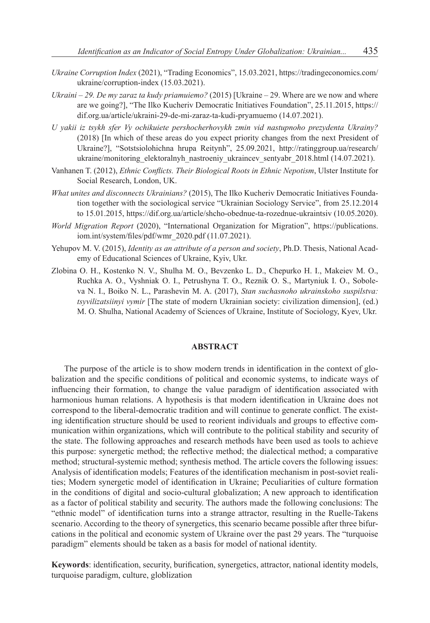- *Ukraine Corruption Index* (2021), "Trading Economics", 15.03.2021, https://tradingeconomics.com/ ukraine/corruption-index (15.03.2021).
- *Ukraini – 29. De my zaraz ta kudy priamuiemo?* (2015) [Ukraine 29. Where are we now and where are we going?], "The Ilko Kucheriv Democratic Initiatives Foundation", 25.11.2015, https:// dif.org.ua/article/ukraini-29-de-mi-zaraz-ta-kudi-pryamuemo (14.07.2021).
- *U yakii iz tsykh sfer Vy ochikuiete pershocherhovykh zmin vid nastupnoho prezydenta Ukrainy?* (2018) [In which of these areas do you expect priority changes from the next President of Ukraine?], "Sotstsiolohichna hrupa Reitynh", 25.09.2021, http://ratinggroup.ua/research/ ukraine/monitoring\_elektoralnyh\_nastroeniy\_ukraincev\_sentyabr\_2018.html (14.07.2021).
- Vanhanen T. (2012), *Ethnic Conflicts. Their Biological Roots in Ethnic Nepotism*, Ulster Institute for Social Research, London, UK.
- *What unites and disconnects Ukrainians?* (2015), The Ilko Kucheriv Democratic Initiatives Foundation together with the sociological service "Ukrainian Sociology Service", from 25.12.2014 to 15.01.2015, https://dif.org.ua/article/shcho-obednue-ta-rozednue-ukraintsiv (10.05.2020).
- *World Migration Report* (2020), "International Organization for Migration", https://publications. iom.int/system/files/pdf/wmr\_2020.pdf (11.07.2021).
- Yehupov M. V. (2015), *Identity as an attribute of a person and society*, Ph.D. Thesis, National Academy of Educational Sciences of Ukraine, Kyiv, Ukr.
- Zlobina O. H., Kostenko N. V., Shulha M. O., Bevzenko L. D., Chepurko H. I., Makeiev M. O., Ruchka A. O., Vyshniak O. I., Petrushyna T. O., Reznik O. S., Martyniuk I. O., Soboleva N. I., Boiko N. L., Parashevin M. A. (2017), *Stan suchasnoho ukrainskoho suspilstva: tsyvilizatsiinyi vymir* [The state of modern Ukrainian society: civilization dimension], (ed.) M. O. Shulha, National Academy of Sciences of Ukraine, Institute of Sociology, Kyev, Ukr.

#### **ABSTRACT**

The purpose of the article is to show modern trends in identification in the context of globalization and the specific conditions of political and economic systems, to indicate ways of influencing their formation, to change the value paradigm of identification associated with harmonious human relations. A hypothesis is that modern identification in Ukraine does not correspond to the liberal-democratic tradition and will continue to generate conflict. The existing identification structure should be used to reorient individuals and groups to effective communication within organizations, which will contribute to the political stability and security of the state. The following approaches and research methods have been used as tools to achieve this purpose: synergetic method; the reflective method; the dialectical method; a comparative method; structural-systemic method; synthesis method. The article covers the following issues: Analysis of identification models; Features of the identification mechanism in post-soviet realities; Modern synergetic model of identification in Ukraine; Peculiarities of culture formation in the conditions of digital and socio-cultural globalization; A new approach to identification as a factor of political stability and security. The authors made the following conclusions: The "ethnic model" of identification turns into a strange attractor, resulting in the Ruelle-Takens scenario. According to the theory of synergetics, this scenario became possible after three bifurcations in the political and economic system of Ukraine over the past 29 years. The "turquoise paradigm" elements should be taken as a basis for model of national identity.

**Keywords**: identification, security, burification, synergetics, attractor, national identity models, turquoise paradigm, culture, globlization